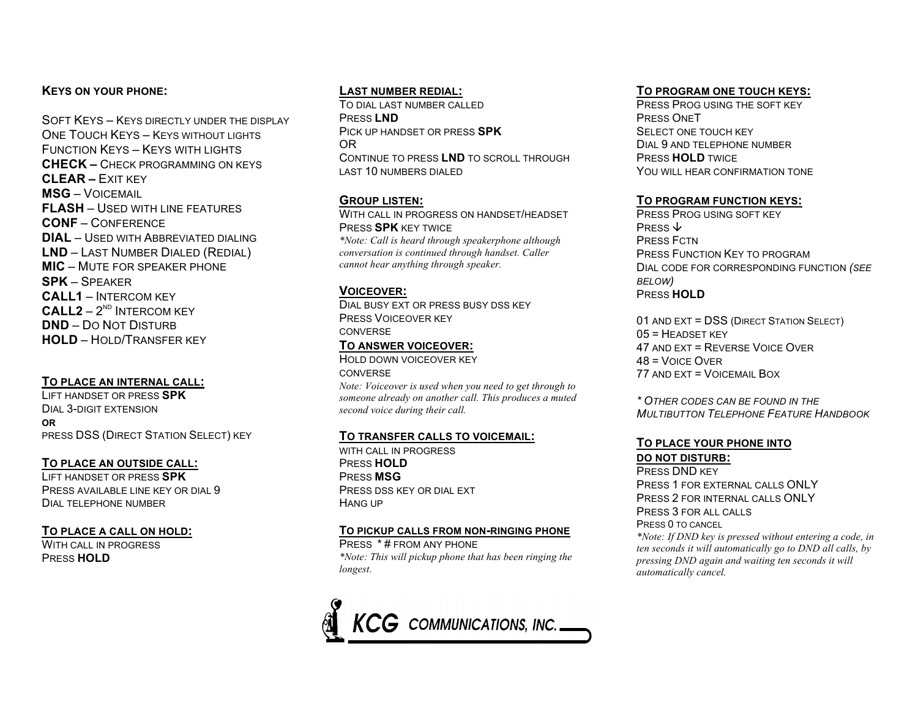## **KEYS ON YOUR PHONE:**

SOFT KEYS - KEYS DIRECTLY UNDER THE DISPLAY ONE TOUCH KEYS - KEYS WITHOUT LIGHTS FUNCTION KEYS – KEYS WITH LIGHTS **CHECK –** CHECK PROGRAMMING ON KEYS **CLEAR –** EXIT KEY **MSG** – VOICEMAIL **FLASH** – USED WITH LINE FEATURES **CONF** – CONFERENCE **DIAL** – USED WITH ABBREVIATED DIALING **LND** – LAST NUMBER DIALED (REDIAL) **MIC** – MUTE FOR SPEAKER PHONE **SPK** – SPEAKER **CALL1** – INTERCOM KEY  $CALL2 - 2<sup>ND</sup> INTERCOM KEY$ **DND** – DO NOT DISTURB **HOLD** – HOLD/TRANSFER KEY

## **TO PLACE AN INTERNAL CALL:**

LIFT HANDSET OR PRESS **SPK** DIAL 3-DIGIT EXTENSION **OR**  PRESS DSS (DIRECT STATION SELECT) KEY

### **TO PLACE AN OUTSIDE CALL:**

LIFT HANDSET OR PRESS **SPK** PRESS AVAILABLE LINE KEY OR DIAL 9 DIAL TELEPHONE NUMBER

### **TO PLACE A CALL ON HOLD:**

WITH CALL IN PROGRESS PRESS **HOLD**

## **LAST NUMBER REDIAL:**

TO DIAL LAST NUMBER CALLED PRESS **LND** PICK UP HANDSET OR PRESS **SPK** OR CONTINUE TO PRESS **LND** TO SCROLL THROUGH LAST 10 NUMBERS DIALED

### **GROUP LISTEN:**

WITH CALL IN PROGRESS ON HANDSET/HEADSET PRESS **SPK** KEY TWICE *\*Note: Call is heard through speakerphone although conversation is continued through handset. Caller cannot hear anything through speaker.*

## **VOICEOVER:**

DIAL BUSY EXT OR PRESS BUSY DSS KEY PRESS VOICEOVER KEY **CONVERSE TO ANSWER VOICEOVER:**

HOLD DOWN VOICEOVER KEY **CONVERSE** 

*Note: Voiceover is used when you need to get through to someone already on another call. This produces a muted second voice during their call.*

### **TO TRANSFER CALLS TO VOICEMAIL:**

WITH CALL IN PROGRESS PRESS **HOLD** PRESS **MSG** PRESS DSS KEY OR DIAL EXT HANG UP

#### **TO PICKUP CALLS FROM NON-RINGING PHONE**

PRESS \* # FROM ANY PHONE *\*Note: This will pickup phone that has been ringing the longest.*



# **TO PROGRAM ONE TOUCH KEYS:**

PRESS PROG USING THE SOFT KEY PRESS ONET SELECT ONE TOUCH KEY DIAL 9 AND TELEPHONE NUMBER PRESS **HOLD** TWICE YOU WILL HEAR CONFIRMATION TONE

## **TO PROGRAM FUNCTION KEYS:**

PRESS PROG USING SOFT KEY PRESS  $\psi$ PRESS FCTN PRESS FUNCTION KEY TO PROGRAM DIAL CODE FOR CORRESPONDING FUNCTION *(SEE BELOW)* PRESS **HOLD**

01 AND EXT = DSS (DIRECT STATION SELECT)  $05$  = HEADSET KEY 47 AND EXT = REVERSE VOICE OVER 48 = VOICE OVER 77 AND EXT = VOICEMAIL BOX

*\* OTHER CODES CAN BE FOUND IN THE MULTIBUTTON TELEPHONE FEATURE HANDBOOK*

## **TO PLACE YOUR PHONE INTO**

#### **DO NOT DISTURB:**

PRESS DND KEY PRESS 1 FOR EXTERNAL CALLS ONLY PRESS 2 FOR INTERNAL CALLS ONLY PRESS 3 FOR ALL CALLS PRESS 0 TO CANCEL

*\*Note: If DND key is pressed without entering a code, in ten seconds it will automatically go to DND all calls, by pressing DND again and waiting ten seconds it will automatically cancel.*